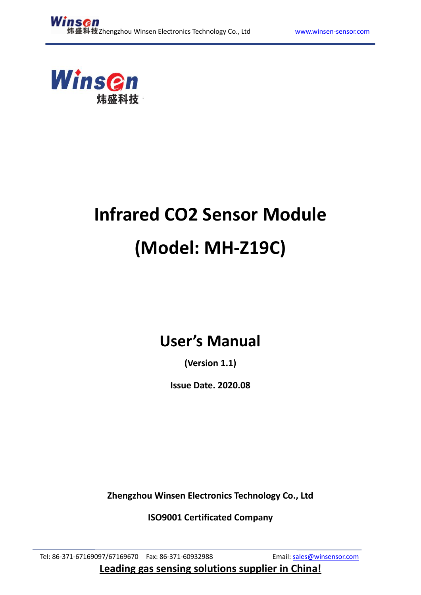

# **Infrared CO2 Sensor Module (Model: MH-Z19C)**

# **User's Manual**

**(Version 1.1)**

**Issue Date. 2020.08**

**Zhengzhou Winsen Electronics Technology Co., Ltd**

**ISO9001 Certificated Company**

Tel: 86-371-67169097/67169670 Fax: 86-371-60932988 Email: [sales@winsensor.com](mailto:sales@winsensor.com) **Leading gas sensing solutions supplier in China!**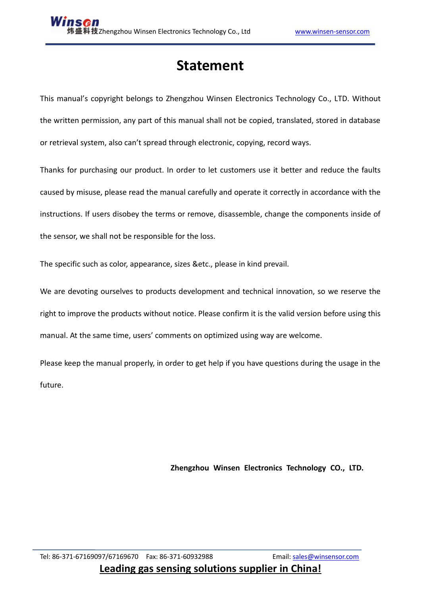# **Statement**

This manual's copyright belongs to Zhengzhou Winsen Electronics Technology Co., LTD. Without the written permission, any part of this manual shall not be copied, translated, stored in database or retrieval system, also can't spread through electronic, copying, record ways.

Thanks for purchasing our product. In order to let customers use it better and reduce the faults caused by misuse, please read the manual carefully and operate it correctly in accordance with the instructions. If users disobey the terms or remove, disassemble, change the components inside of the sensor, we shall not be responsible for the loss.

The specific such as color, appearance, sizes &etc., please in kind prevail.

We are devoting ourselves to products development and technical innovation, so we reserve the right to improve the products without notice. Please confirm it is the valid version before using this manual. At the same time, users' comments on optimized using way are welcome.

Please keep the manual properly, in order to get help if you have questions during the usage in the future.

**Zhengzhou Winsen Electronics Technology CO., LTD.**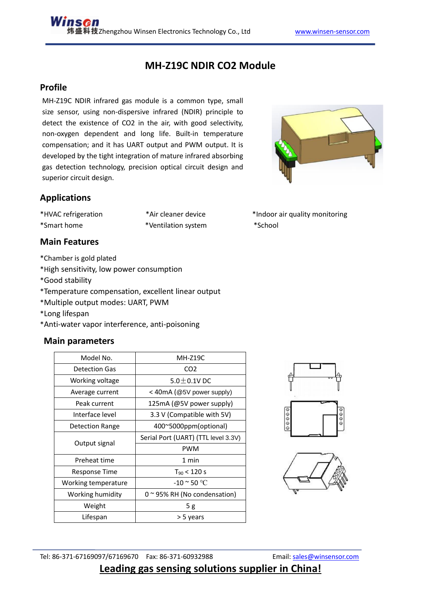## **MH-Z19C NDIR CO2 Module**

#### **Profile**

MH-Z19C NDIR infrared gas module is a common type, small size sensor, using non-dispersive infrared (NDIR) principle to detect the existence of CO2 in the air, with good selectivity, non-oxygen dependent and long life. Built-in temperature compensation; and it has UART output and PWM output. It is developed by the tight integration of mature infrared absorbing gas detection technology, precision optical circuit design and superior circuit design.



\*Smart home \*Ventilation system \*School

#### **Main Features**

- \*Chamber is gold plated
- \*High sensitivity, low power consumption
- \*Good stability
- \*Temperature compensation, excellent linear output
- \*Multiple output modes: UART, PWM
- \*Long lifespan
- \*Anti-water vapor interference, anti-poisoning

#### **Main parameters**

| Model No.              | <b>MH-Z19C</b>                      |  |  |
|------------------------|-------------------------------------|--|--|
| Detection Gas          | CO <sub>2</sub>                     |  |  |
| Working voltage        | $5.0 \pm 0.1$ V DC                  |  |  |
| Average current        | < 40mA (@5V power supply)           |  |  |
| Peak current           | 125mA (@5V power supply)            |  |  |
| Interface level        | 3.3 V (Compatible with 5V)          |  |  |
| <b>Detection Range</b> | 400~5000ppm(optional)               |  |  |
|                        | Serial Port (UART) (TTL level 3.3V) |  |  |
| Output signal          | <b>PWM</b>                          |  |  |
| Preheat time           | 1 min                               |  |  |
| Response Time          | $T_{90}$ < 120 s                    |  |  |
| Working temperature    | -10 $^{\circ}$ 50 $^{\circ}$ C      |  |  |
| Working humidity       | 0 ~ 95% RH (No condensation)        |  |  |
| Weight                 | 5g                                  |  |  |
| Lifespan               | > 5 years                           |  |  |







### **Leading gas sensing solutions supplier in China!**



\*HVAC refrigeration \*Air cleaner device \*Indoor air quality monitoring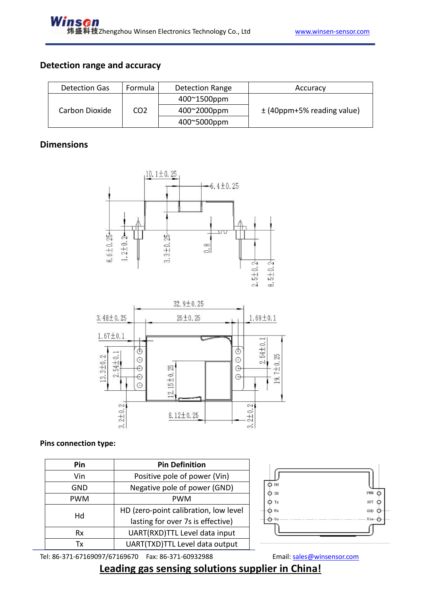#### **Detection range and accuracy**

| Detection Gas  | Formula         | Detection Range | Accuracy                       |
|----------------|-----------------|-----------------|--------------------------------|
| Carbon Dioxide |                 | 400~1500ppm     |                                |
|                | CO <sub>2</sub> | 400~2000ppm     | $\pm$ (40ppm+5% reading value) |
|                |                 | 400~5000ppm     |                                |

#### **Dimensions**





#### **Pins connection type:**

| Pin        | <b>Pin Definition</b>                                                      |  |  |  |  |
|------------|----------------------------------------------------------------------------|--|--|--|--|
| Vin        | Positive pole of power (Vin)                                               |  |  |  |  |
| GND        | Negative pole of power (GND)                                               |  |  |  |  |
| <b>PWM</b> | PWM                                                                        |  |  |  |  |
| Hd         | HD (zero-point calibration, low level<br>lasting for over 7s is effective) |  |  |  |  |
| Rx         | UART(RXD)TTL Level data input                                              |  |  |  |  |
| Tx         | UART(TXD)TTL Level data output                                             |  |  |  |  |



Tel: 86-371-67169097/67169670 Fax: 86-371-60932988 Email: [sales@winsensor.com](mailto:sales@winsensor.com)

# **Leading gas sensing solutions supplier in China!**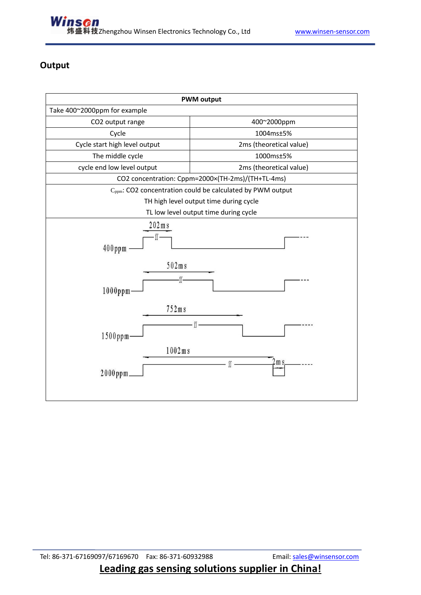

#### **Output**

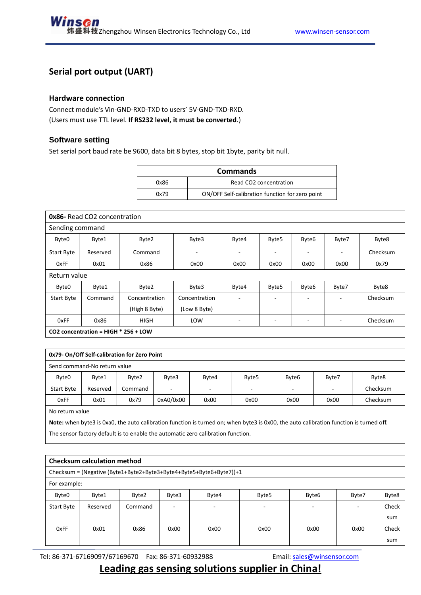#### **Serial port output (UART)**

#### **Hardware connection**

Connect module's Vin-GND-RXD-TXD to users' 5V-GND-TXD-RXD. (Users must use TTL level. **If RS232 level, it must be converted**.)

#### **Software setting**

Set serial port baud rate be 9600, data bit 8 bytes, stop bit 1byte, parity bit null.

| <b>Commands</b>                |                                                 |  |  |  |
|--------------------------------|-------------------------------------------------|--|--|--|
| Read CO2 concentration<br>0x86 |                                                 |  |  |  |
| 0x79                           | ON/OFF Self-calibration function for zero point |  |  |  |

| <b>0x86-</b> Read CO2 concentration    |          |               |               |                          |       |                          |       |          |  |
|----------------------------------------|----------|---------------|---------------|--------------------------|-------|--------------------------|-------|----------|--|
| Sending command                        |          |               |               |                          |       |                          |       |          |  |
| Byte0                                  | Byte1    | Byte2         | Byte3         | Byte4                    | Byte5 | Byte <sub>6</sub>        | Byte7 | Byte8    |  |
| <b>Start Byte</b>                      | Reserved | Command       | ۰             | ۰                        |       | ٠                        |       | Checksum |  |
| 0xFF                                   | 0x01     | 0x86<br>0x00  |               | 0x00                     | 0x00  | 0x00                     | 0x00  | 0x79     |  |
| Return value                           |          |               |               |                          |       |                          |       |          |  |
| Byte0                                  | Byte1    | Byte2         | Byte3         | Byte4                    | Byte5 | Byte6                    | Byte7 | Byte8    |  |
| <b>Start Byte</b>                      | Command  | Concentration | Concentration | $\overline{\phantom{a}}$ |       | $\overline{\phantom{a}}$ | ٠     | Checksum |  |
|                                        |          | (High 8 Byte) | (Low 8 Byte)  |                          |       |                          |       |          |  |
| 0xFF                                   | 0x86     | <b>HIGH</b>   | LOW           | -                        |       | $\overline{\phantom{0}}$ | ٠     | Checksum |  |
| CO2 concentration = HIGH $*$ 256 + LOW |          |               |               |                          |       |                          |       |          |  |

| 0x79- On/Off Self-calibration for Zero Point |          |         |           |       |                   |                   |                          |          |  |
|----------------------------------------------|----------|---------|-----------|-------|-------------------|-------------------|--------------------------|----------|--|
| Send command-No return value                 |          |         |           |       |                   |                   |                          |          |  |
| Byte0                                        | Byte1    | Byte2   | Byte3     | Byte4 | Byte <sub>5</sub> | Byte <sub>6</sub> | Byte7                    | Byte8    |  |
| <b>Start Byte</b>                            | Reserved | Command | ٠         | ۰     | ۰                 | $\overline{a}$    | $\overline{\phantom{a}}$ | Checksum |  |
| 0xFF                                         | 0x01     | 0x79    | 0xA0/0x00 | 0x00  | 0x00              | 0x00              | 0x00                     | Checksum |  |
| No return value                              |          |         |           |       |                   |                   |                          |          |  |

No return value

**Note:** when byte3 is 0xa0, the auto calibration function is turned on; when byte3 is 0x00, the auto calibration function is turned off. The sensor factory default is to enable the automatic zero calibration function.

| <b>Checksum calculation method</b>                                  |              |         |       |       |       |                          |       |       |  |
|---------------------------------------------------------------------|--------------|---------|-------|-------|-------|--------------------------|-------|-------|--|
| Checksum = (Negative (Byte1+Byte2+Byte3+Byte4+Byte5+Byte6+Byte7))+1 |              |         |       |       |       |                          |       |       |  |
|                                                                     | For example: |         |       |       |       |                          |       |       |  |
| Byte0                                                               | Byte1        | Byte2   | Byte3 | Byte4 | Byte5 | Byte6                    | Byte7 | Byte8 |  |
| Start Byte                                                          | Reserved     | Command |       | ٠     |       | $\overline{\phantom{a}}$ |       | Check |  |
|                                                                     |              |         |       |       |       |                          |       | sum   |  |
| 0xFF                                                                | 0x01         | 0x86    | 0x00  | 0x00  | 0x00  | 0x00                     | 0x00  | Check |  |
|                                                                     |              |         |       |       |       |                          |       | sum   |  |

Tel: 86-371-67169097/67169670 Fax: 86-371-60932988 Email: [sales@winsensor.com](mailto:sales@winsensor.com)

#### **Leading gas sensing solutions supplier in China!**